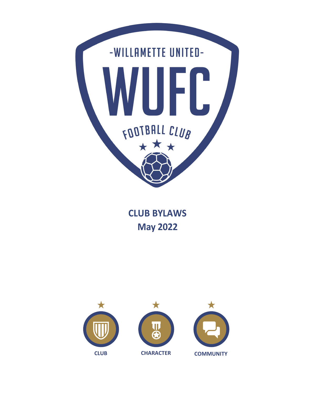

**CLUB BYLAWS May 2022**

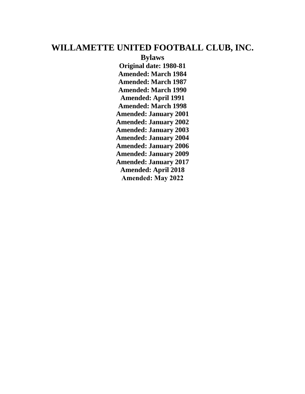# **WILLAMETTE UNITED FOOTBALL CLUB, INC.**

**Bylaws Original date: 1980-81 Amended: March 1984 Amended: March 1987 Amended: March 1990 Amended: April 1991 Amended: March 1998 Amended: January 2001 Amended: January 2002 Amended: January 2003 Amended: January 2004 Amended: January 2006 Amended: January 2009 Amended: January 2017 Amended: April 2018 Amended: May 2022**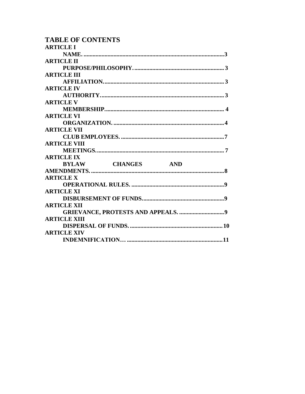| <b>TABLE OF CONTENTS</b> |                   |  |
|--------------------------|-------------------|--|
| <b>ARTICLE I</b>         |                   |  |
|                          |                   |  |
| <b>ARTICLE II</b>        |                   |  |
|                          |                   |  |
| <b>ARTICLE III</b>       |                   |  |
|                          |                   |  |
| <b>ARTICLE IV</b>        |                   |  |
|                          |                   |  |
| <b>ARTICLE V</b>         |                   |  |
|                          |                   |  |
| <b>ARTICLE VI</b>        |                   |  |
|                          |                   |  |
| <b>ARTICLE VII</b>       |                   |  |
|                          |                   |  |
| <b>ARTICLE VIII</b>      |                   |  |
|                          |                   |  |
| <b>ARTICLE IX</b>        |                   |  |
|                          | BYLAW CHANGES AND |  |
|                          |                   |  |
| <b>ARTICLE X</b>         |                   |  |
|                          |                   |  |
| <b>ARTICLE XI</b>        |                   |  |
|                          |                   |  |
| <b>ARTICLE XII</b>       |                   |  |
|                          |                   |  |
| <b>ARTICLE XIII</b>      |                   |  |
|                          |                   |  |
| <b>ARTICLE XIV</b>       |                   |  |
|                          |                   |  |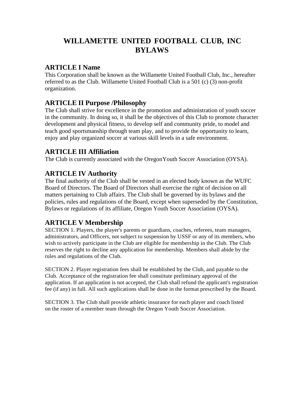# **WILLAMETTE UNITED FOOTBALL CLUB, INC BYLAWS**

#### **ARTICLE I Name**

This Corporation shall be known as the Willamette United Football Club, Inc., hereafter referred to as the Club. Willamette United Football Club is a 501 (c) (3) non-profit organization.

### **ARTICLE II Purpose /Philosophy**

The Club shall strive for excellence in the promotion and administration of youth soccer in the community. In doing so, it shall be the objectives of this Club to promote character development and physical fitness, to develop self and community pride, to model and teach good sportsmanship through team play, and to provide the opportunity to learn, enjoy and play organized soccer at various skill levels in a safe environment.

### **ARTICLE III Affiliation**

The Club is currently associated with the OregonYouth Soccer Association (OYSA).

### **ARTICLE IV Authority**

The final authority of the Club shall be vested in an elected body known as the WUFC Board of Directors. The Board of Directors shall exercise the right of decision on all matters pertaining to Club affairs. The Club shall be governed by its bylaws and the policies, rules and regulations of the Board, except when superseded by the Constitution, Bylaws or regulations of its affiliate, Oregon Youth Soccer Association (OYSA).

## **ARTICLE V Membership**

SECTION 1. Players, the player's parents or guardians, coaches, referees, team managers, administrators, and Officers, not subject to suspension by USSF or any of its members, who wish to actively participate in the Club are eligible for membership in the Club. The Club reserves the right to decline any application for membership. Members shall abide by the rules and regulations of the Club.

SECTION 2. Player registration fees shall be established by the Club, and payable to the Club. Acceptance of the registration fee shall constitute preliminary approval of the application. If an application is not accepted, the Club shall refund the applicant's registration fee (if any) in full. All such applications shall be done in the format prescribed by the Board.

SECTION 3. The Club shall provide athletic insurance for each player and coach listed on the roster of a member team through the Oregon Youth Soccer Association.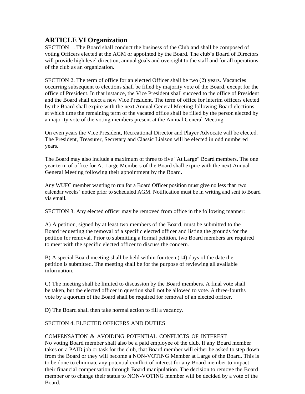### **ARTICLE VI Organization**

SECTION 1. The Board shall conduct the business of the Club and shall be composed of voting Officers elected at the AGM or appointed by the Board. The club's Board of Directors will provide high level direction, annual goals and oversight to the staff and for all operations of the club as an organization.

SECTION 2. The term of office for an elected Officer shall be two (2) years. Vacancies occurring subsequent to elections shall be filled by majority vote of the Board, except for the office of President. In that instance, the Vice President shall succeed to the office of President and the Board shall elect a new Vice President. The term of office for interim officers elected by the Board shall expire with the next Annual General Meeting following Board elections, at which time the remaining term of the vacated office shall be filled by the person elected by a majority vote of the voting members present at the Annual General Meeting.

On even years the Vice President, Recreational Director and Player Advocate will be elected. The President, Treasurer, Secretary and Classic Liaison will be elected in odd numbered years.

The Board may also include a maximum of three to five "At Large" Board members. The one year term of office for At-Large Members of the Board shall expire with the next Annual General Meeting following their appointment by the Board.

Any WUFC member wanting to run for a Board Officer position must give no less than two calendar weeks' notice prior to scheduled AGM. Notification must be in writing and sent to Board via email.

SECTION 3. Any elected officer may be removed from office in the following manner:

A) A petition, signed by at least two members of the Board, must be submitted to the Board requesting the removal of a specific elected officer and listing the grounds for the petition for removal. Prior to submitting a formal petition, two Board members are required to meet with the specific elected officer to discuss the concern.

B) A special Board meeting shall be held within fourteen (14) days of the date the petition is submitted. The meeting shall be for the purpose of reviewing all available information.

C) The meeting shall be limited to discussion by the Board members. A final vote shall be taken, but the elected officer in question shall not be allowed to vote. A three-fourths vote by a quorum of the Board shall be required for removal of an elected officer.

D) The Board shall then take normal action to fill a vacancy.

#### SECTION 4. ELECTED OFFICERS AND DUTIES

#### COMPENSATION & AVOIDING POTENTIAL CONFLICTS OF INTEREST

No voting Board member shall also be a paid employee of the club. If any Board member takes on a PAID job or task for the club, that Board member will either be asked to step down from the Board or they will become a NON-VOTING Member at Large of the Board. This is to be done to eliminate any potential conflict of interest for any Board member to impact their financial compensation through Board manipulation. The decision to remove the Board member or to change their status to NON-VOTING member will be decided by a vote of the Board.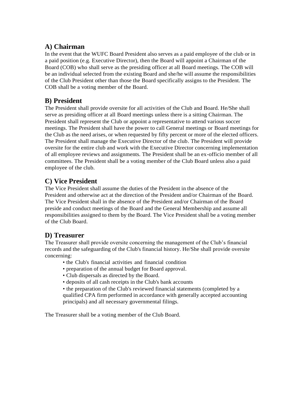## **A) Chairman**

In the event that the WUFC Board President also serves as a paid employee of the club or in a paid position (e.g. Executive Director), then the Board will appoint a Chairman of the Board (COB) who shall serve as the presiding officer at all Board meetings. The COB will be an individual selected from the existing Board and she/he will assume the responsibilities of the Club President other than those the Board specifically assigns to the President. The COB shall be a voting member of the Board.

## **B) President**

The President shall provide oversite for all activities of the Club and Board. He/She shall serve as presiding officer at all Board meetings unless there is a sitting Chairman. The President shall represent the Club or appoint a representative to attend various soccer meetings. The President shall have the power to call General meetings or Board meetings for the Club as the need arises, or when requested by fifty percent or more of the elected officers. The President shall manage the Executive Director of the club. The President will provide oversite for the entire club and work with the Executive Director concerning implementation of all employee reviews and assignments. The President shall be an ex-officio member of all committees. The President shall be a voting member of the Club Board unless also a paid employee of the club.

## **C) Vice President**

The Vice President shall assume the duties of the President in the absence of the President and otherwise act at the direction of the President and/or Chairman of the Board. The Vice President shall in the absence of the President and/or Chairman of the Board preside and conduct meetings of the Board and the General Membership and assume all responsibilities assigned to them by the Board. The Vice President shall be a voting member of the Club Board.

#### **D) Treasurer**

The Treasurer shall provide oversite concerning the management of the Club's financial records and the safeguarding of the Club's financial history. He/She shall provide oversite concerning:

- the Club's financial activities and financial condition
- preparation of the annual budget for Board approval.
- Club dispersals as directed by the Board.
- deposits of all cash receipts in the Club's bank accounts

• the preparation of the Club's reviewed financial statements (completed by a qualified CPA firm performed in accordance with generally accepted accounting principals) and all necessary governmental filings.

The Treasurer shall be a voting member of the Club Board.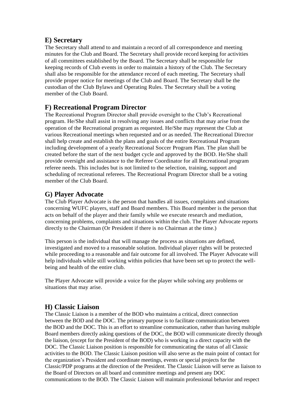#### **E) Secretary**

The Secretary shall attend to and maintain a record of all correspondence and meeting minutes for the Club and Board. The Secretary shall provide record keeping for activities of all committees established by the Board. The Secretary shall be responsible for keeping records of Club events in order to maintain a history of the Club. The Secretary shall also be responsible for the attendance record of each meeting. The Secretary shall provide proper notice for meetings of the Club and Board. The Secretary shall be the custodian of the Club Bylaws and Operating Rules. The Secretary shall be a voting member of the Club Board.

#### **F) Recreational Program Director**

The Recreational Program Director shall provide oversight to the Club's Recreational program. He/She shall assist in resolving any issues and conflicts that may arise from the operation of the Recreational program as requested. He/She may represent the Club at various Recreational meetings when requested and or as needed. The Recreational Director shall help create and establish the plans and goals of the entire Recreational Program including development of a yearly Recreational Soccer Program Plan. The plan shall be created before the start of the next budget cycle and approved by the BOD. He/She shall provide oversight and assistance to the Referee Coordinator for all Recreational program referee needs. This includes but is not limited to the selection, training, support and scheduling of recreational referees. The Recreational Program Director shall be a voting member of the Club Board.

## **G) Player Advocate**

The Club Player Advocate is the person that handles all issues, complaints and situations concerning WUFC players, staff and Board members. This Board member is the person that acts on behalf of the player and their family while we execute research and mediation, concerning problems, complaints and situations within the club. The Player Advocate reports directly to the Chairman (Or President if there is no Chairman at the time.)

This person is the individual that will manage the process as situations are defined, investigated and moved to a reasonable solution. Individual player rights will be protected while proceeding to a reasonable and fair outcome for all involved. The Player Advocate will help individuals while still working within policies that have been set up to protect the wellbeing and health of the entire club.

The Player Advocate will provide a voice for the player while solving any problems or situations that may arise.

## **H) Classic Liaison**

The Classic Liaison is a member of the BOD who maintains a critical, direct connection between the BOD and the DOC. The primary purpose is to facilitate communication between the BOD and the DOC. This is an effort to streamline communication, rather than having multiple Board members directly asking questions of the DOC, the BOD will communicate directly through the liaison, (except for the President of the BOD) who is working in a direct capacity with the DOC. The Classic Liaison position is responsible for communicating the status of all Classic activities to the BOD. The Classic Liaison position will also serve as the main point of contact for the organization's President and coordinate meetings, events or special projects for the Classic/PDP programs at the direction of the President. The Classic Liaison will serve as liaison to the Board of Directors on all board and committee meetings and present any DOC communications to the BOD. The Classic Liaison will maintain professional behavior and respect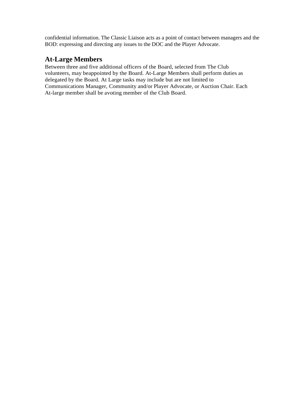confidential information. The Classic Liaison acts as a point of contact between managers and the BOD: expressing and directing any issues to the DOC and the Player Advocate.

#### **At-Large Members**

Between three and five additional officers of the Board, selected from The Club volunteers, may beappointed by the Board. At-Large Members shall perform duties as delegated by the Board. At Large tasks may include but are not limited to Communications Manager, Community and/or Player Advocate, or Auction Chair. Each At-large member shall be avoting member of the Club Board.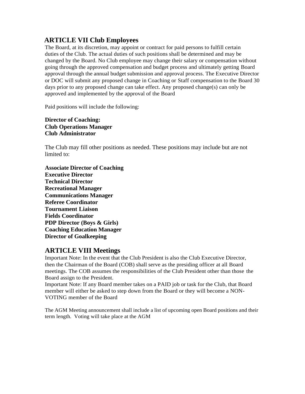### **ARTICLE VII Club Employees**

The Board, at its discretion, may appoint or contract for paid persons to fulfill certain duties of the Club. The actual duties of such positions shall be determined and may be changed by the Board. No Club employee may change their salary or compensation without going through the approved compensation and budget process and ultimately getting Board approval through the annual budget submission and approval process. The Executive Director or DOC will submit any proposed change in Coaching or Staff compensation to the Board 30 days prior to any proposed change can take effect. Any proposed change(s) can only be approved and implemented by the approval of the Board

Paid positions will include the following:

#### **Director of Coaching: Club Operations Manager Club Administrator**

The Club may fill other positions as needed. These positions may include but are not limited to:

**Associate Director of Coaching Executive Director Technical Director Recreational Manager Communications Manager Referee Coordinator Tournament Liaison Fields Coordinator PDP Director (Boys & Girls) Coaching Education Manager Director of Goalkeeping**

#### **ARTICLE VIII Meetings**

Important Note: In the event that the Club President is also the Club Executive Director, then the Chairman of the Board (COB) shall serve as the presiding officer at all Board meetings. The COB assumes the responsibilities of the Club President other than those the Board assign to the President.

Important Note: If any Board member takes on a PAID job or task for the Club, that Board member will either be asked to step down from the Board or they will become a NON-VOTING member of the Board

The AGM Meeting announcement shall include a list of upcoming open Board positions and their term length. Voting will take place at the AGM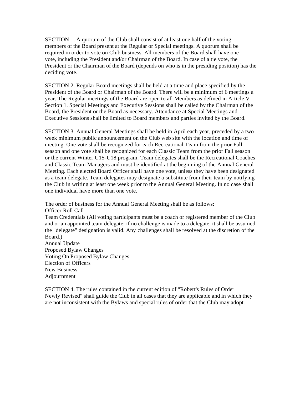SECTION 1. A quorum of the Club shall consist of at least one half of the voting members of the Board present at the Regular or Special meetings. A quorum shall be required in order to vote on Club business. All members of the Board shall have one vote, including the President and/or Chairman of the Board. In case of a tie vote, the President or the Chairman of the Board (depends on who is in the presiding position) has the deciding vote.

SECTION 2. Regular Board meetings shall be held at a time and place specified by the President of the Board or Chairman of the Board. There will be a minimum of 6 meetings a year. The Regular meetings of the Board are open to all Members as defined in Article V Section 1. Special Meetings and Executive Sessions shall be called by the Chairman of the Board, the President or the Board as necessary. Attendance at Special Meetings and Executive Sessions shall be limited to Board members and parties invited by the Board.

SECTION 3. Annual General Meetings shall be held in April each year, preceded by a two week minimum public announcement on the Club web site with the location and time of meeting. One vote shall be recognized for each Recreational Team from the prior Fall season and one vote shall be recognized for each Classic Team from the prior Fall season or the current Winter U15-U18 program. Team delegates shall be the Recreational Coaches and Classic Team Managers and must be identified at the beginning of the Annual General Meeting. Each elected Board Officer shall have one vote, unless they have been designated as a team delegate. Team delegates may designate a substitute from their team by notifying the Club in writing at least one week prior to the Annual General Meeting. In no case shall one individual have more than one vote.

The order of business for the Annual General Meeting shall be as follows: Officer Roll Call Team Credentials (All voting participants must be a coach or registered member of the Club and or an appointed team delegate; if no challenge is made to a delegate, it shall be assumed the "delegate" designation is valid. Any challenges shall be resolved at the discretion of the Board.) Annual Update Proposed Bylaw Changes Voting On Proposed Bylaw Changes Election of Officers New Business Adjournment

SECTION 4. The rules contained in the current edition of "Robert's Rules of Order Newly Revised" shall guide the Club in all cases that they are applicable and in which they are not inconsistent with the Bylaws and special rules of order that the Club may adopt.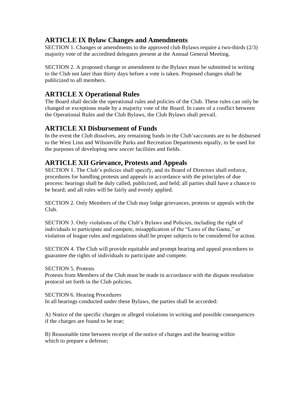### **ARTICLE IX Bylaw Changes and Amendments**

SECTION 1. Changes or amendments to the approved club Bylaws require a two-thirds (2/3) majority vote of the accredited delegates present at the Annual General Meeting.

SECTION 2. A proposed change or amendment to the Bylaws must be submitted in writing to the Club not later than thirty days before a vote is taken. Proposed changes shall be publicized to all members.

## **ARTICLE X Operational Rules**

The Board shall decide the operational rules and policies of the Club. These rules can only be changed or exceptions made by a majority vote of the Board. In cases of a conflict between the Operational Rules and the Club Bylaws, the Club Bylaws shall prevail.

## **ARTICLE XI Disbursement of Funds**

In the event the Club dissolves, any remaining funds in the Club'saccounts are to be disbursed to the West Linn and Wilsonville Parks and Recreation Departments equally, to be used for the purposes of developing new soccer facilities and fields.

### **ARTICLE XII Grievance, Protests and Appeals**

SECTION 1. The Club's policies shall specify, and its Board of Directors shall enforce, procedures for handling protests and appeals in accordance with the principles of due process: hearings shall be duly called, publicized, and held; all parties shall have a chance to be heard; and all rules will be fairly and evenly applied.

SECTION 2. Only Members of the Club may lodge grievances, protests or appeals with the Club.

SECTION 3. Only violations of the Club's Bylaws and Policies, including the right of individuals to participate and compete, misapplication of the "Laws of the Game," or violation of league rules and regulations shall be proper subjects to be considered for action.

SECTION 4. The Club will provide equitable and prompt hearing and appeal procedures to guarantee the rights of individuals to participate and compete.

SECTION 5. Protests Protests from Members of the Club must be made in accordance with the dispute resolution protocol set forth in the Club policies.

SECTION 6. Hearing Procedures In all hearings conducted under these Bylaws, the parties shall be accorded:

A) Notice of the specific charges or alleged violations in writing and possible consequences if the charges are found to be true;

B) Reasonable time between receipt of the notice of charges and the hearing within which to prepare a defense;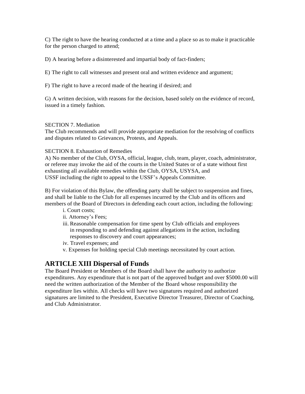C) The right to have the hearing conducted at a time and a place so as to make it practicable for the person charged to attend;

D) A hearing before a disinterested and impartial body of fact-finders;

E) The right to call witnesses and present oral and written evidence and argument;

F) The right to have a record made of the hearing if desired; and

G) A written decision, with reasons for the decision, based solely on the evidence of record, issued in a timely fashion.

#### SECTION 7. Mediation

The Club recommends and will provide appropriate mediation for the resolving of conflicts and disputes related to Grievances, Protests, and Appeals.

#### SECTION 8. Exhaustion of Remedies

A) No member of the Club, OYSA, official, league, club, team, player, coach, administrator, or referee may invoke the aid of the courts in the United States or of a state without first exhausting all available remedies within the Club, OYSA, USYSA, and USSF including the right to appeal to the USSF's Appeals Committee.

B) For violation of this Bylaw, the offending party shall be subject to suspension and fines, and shall be liable to the Club for all expenses incurred by the Club and its officers and members of the Board of Directors in defending each court action, including the following:

- i. Court costs;
- ii. Attorney's Fees;
- iii. Reasonable compensation for time spent by Club officials and employees in responding to and defending against allegations in the action, including responses to discovery and court appearances;
- iv. Travel expenses; and
- v. Expenses for holding special Club meetings necessitated by court action.

#### **ARTICLE XIII Dispersal of Funds**

The Board President or Members of the Board shall have the authority to authorize expenditures. Any expenditure that is not part of the approved budget and over \$5000.00 will need the written authorization of the Member of the Board whose responsibility the expenditure lies within. All checks will have two signatures required and authorized signatures are limited to the President, Executive Director Treasurer, Director of Coaching, and Club Administrator.